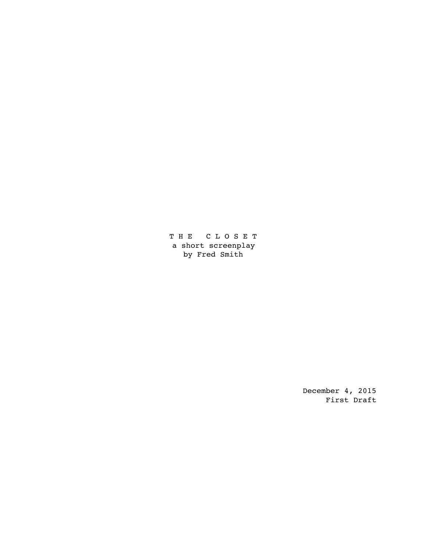T H E C L O S E T a short screenplay by Fred Smith

> December 4, 2015 First Draft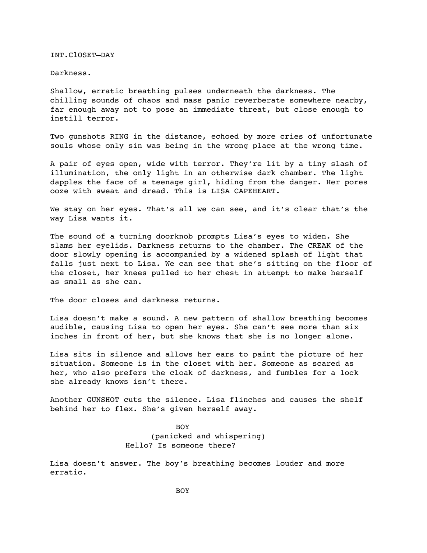INT.ClOSET—DAY

Darkness.

Shallow, erratic breathing pulses underneath the darkness. The chilling sounds of chaos and mass panic reverberate somewhere nearby, far enough away not to pose an immediate threat, but close enough to instill terror.

Two gunshots RING in the distance, echoed by more cries of unfortunate souls whose only sin was being in the wrong place at the wrong time.

A pair of eyes open, wide with terror. They're lit by a tiny slash of illumination, the only light in an otherwise dark chamber. The light dapples the face of a teenage girl, hiding from the danger. Her pores ooze with sweat and dread. This is LISA CAPEHEART.

We stay on her eyes. That's all we can see, and it's clear that's the way Lisa wants it.

The sound of a turning doorknob prompts Lisa's eyes to widen. She slams her eyelids. Darkness returns to the chamber. The CREAK of the door slowly opening is accompanied by a widened splash of light that falls just next to Lisa. We can see that she's sitting on the floor of the closet, her knees pulled to her chest in attempt to make herself as small as she can.

The door closes and darkness returns.

Lisa doesn't make a sound. A new pattern of shallow breathing becomes audible, causing Lisa to open her eyes. She can't see more than six inches in front of her, but she knows that she is no longer alone.

Lisa sits in silence and allows her ears to paint the picture of her situation. Someone is in the closet with her. Someone as scared as her, who also prefers the cloak of darkness, and fumbles for a lock she already knows isn't there.

Another GUNSHOT cuts the silence. Lisa flinches and causes the shelf behind her to flex. She's given herself away.

> BOY (panicked and whispering) Hello? Is someone there?

Lisa doesn't answer. The boy's breathing becomes louder and more erratic.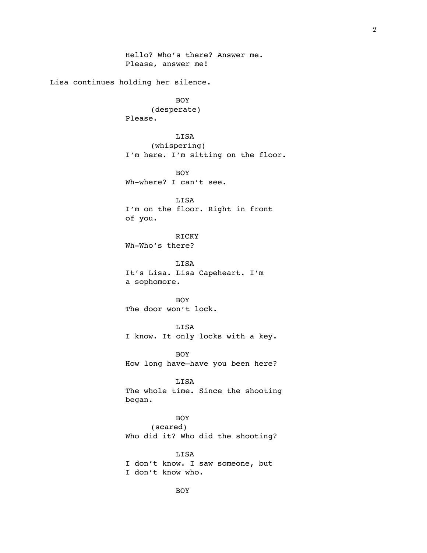Hello? Who's there? Answer me. Please, answer me! Lisa continues holding her silence. BOY (desperate) Please. LISA (whispering) I'm here. I'm sitting on the floor. BOY Wh-where? I can't see. LISA I'm on the floor. Right in front of you. RICKY Wh-Who's there? LISA It's Lisa. Lisa Capeheart. I'm a sophomore. BOY The door won't lock. LISA I know. It only locks with a key. BOY How long have—have you been here? LISA The whole time. Since the shooting began. BOY (scared) Who did it? Who did the shooting? LISA I don't know. I saw someone, but I don't know who. BOY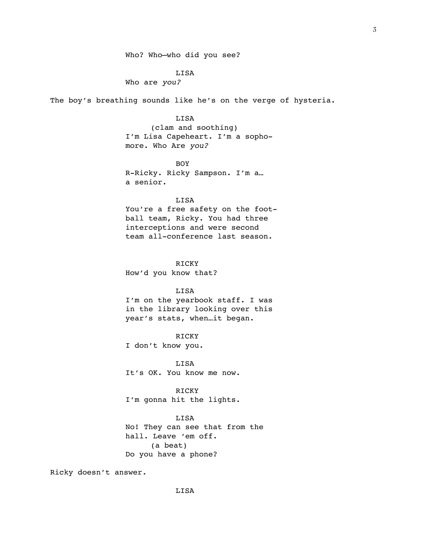LISA

Who are *you?*

The boy's breathing sounds like he's on the verge of hysteria.

LISA (clam and soothing) I'm Lisa Capeheart. I'm a sophomore. Who Are *you?*

BOY R-Ricky. Ricky Sampson. I'm a… a senior.

## LISA

You're a free safety on the football team, Ricky. You had three interceptions and were second team all-conference last season.

RICKY How'd you know that?

LISA I'm on the yearbook staff. I was in the library looking over this year's stats, when…it began.

RICKY I don't know you.

LISA It's OK. You know me now.

RICKY I'm gonna hit the lights.

LISA No! They can see that from the hall. Leave 'em off.

(a beat) Do you have a phone?

Ricky doesn't answer.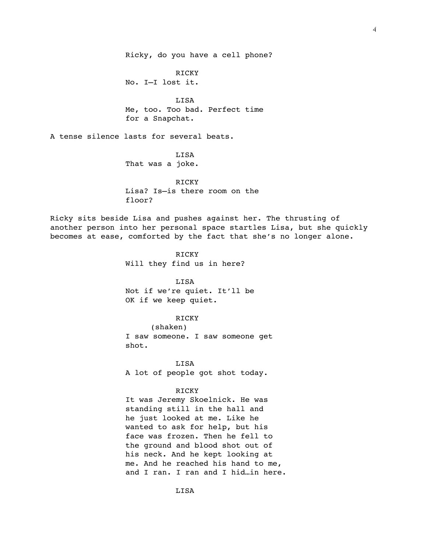RICKY No. I—I lost it.

LISA Me, too. Too bad. Perfect time for a Snapchat.

A tense silence lasts for several beats.

### LISA

That was a joke.

# RICKY Lisa? Is—is there room on the floor?

Ricky sits beside Lisa and pushes against her. The thrusting of another person into her personal space startles Lisa, but she quickly becomes at ease, comforted by the fact that she's no longer alone.

> RICKY Will they find us in here?

LISA Not if we're quiet. It'll be OK if we keep quiet.

### RICKY

(shaken) I saw someone. I saw someone get shot.

LISA A lot of people got shot today.

#### RICKY

It was Jeremy Skoelnick. He was standing still in the hall and he just looked at me. Like he wanted to ask for help, but his face was frozen. Then he fell to the ground and blood shot out of his neck. And he kept looking at me. And he reached his hand to me, and I ran. I ran and I hid…in here.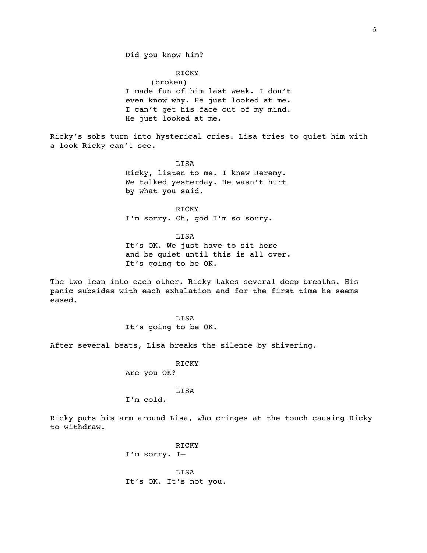Did you know him?

RICKY (broken) I made fun of him last week. I don't even know why. He just looked at me. I can't get his face out of my mind. He just looked at me.

Ricky's sobs turn into hysterical cries. Lisa tries to quiet him with a look Ricky can't see.

> LISA Ricky, listen to me. I knew Jeremy. We talked yesterday. He wasn't hurt by what you said.

**RICKY** I'm sorry. Oh, god I'm so sorry.

**LISA** It's OK. We just have to sit here and be quiet until this is all over. It's going to be OK.

The two lean into each other. Ricky takes several deep breaths. His panic subsides with each exhalation and for the first time he seems eased.

> LISA It's going to be OK.

After several beats, Lisa breaks the silence by shivering.

RICKY Are you OK?

LISA

I'm cold.

Ricky puts his arm around Lisa, who cringes at the touch causing Ricky to withdraw.

> RICKY I'm sorry. I—

LISA It's OK. It's not you.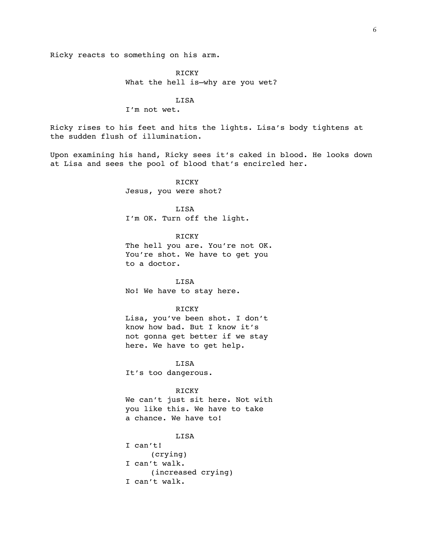Ricky reacts to something on his arm.

RICKY What the hell is—why are you wet?

LISA

I'm not wet.

Ricky rises to his feet and hits the lights. Lisa's body tightens at the sudden flush of illumination.

Upon examining his hand, Ricky sees it's caked in blood. He looks down at Lisa and sees the pool of blood that's encircled her.

> RICKY Jesus, you were shot?

LISA I'm OK. Turn off the light.

RICKY The hell you are. You're not OK. You're shot. We have to get you to a doctor.

LISA No! We have to stay here.

#### RICKY

Lisa, you've been shot. I don't know how bad. But I know it's not gonna get better if we stay here. We have to get help.

LISA It's too dangerous.

#### RICKY

We can't just sit here. Not with you like this. We have to take a chance. We have to!

LISA

I can't! (crying) I can't walk. (increased crying) I can't walk.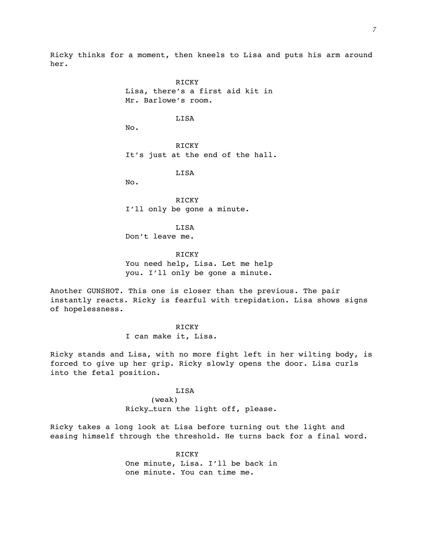Ricky thinks for a moment, then kneels to Lisa and puts his arm around her.

> RICKY Lisa, there's a first aid kit in Mr. Barlowe's room. LISA No. RICKY It's just at the end of the hall. LISA No.

RICKY I'll only be gone a minute.

LISA Don't leave me.

RICKY You need help, Lisa. Let me help you. I'll only be gone a minute.

Another GUNSHOT. This one is closer than the previous. The pair instantly reacts. Ricky is fearful with trepidation. Lisa shows signs of hopelessness.

### RICKY

I can make it, Lisa.

Ricky stands and Lisa, with no more fight left in her wilting body, is forced to give up her grip. Ricky slowly opens the door. Lisa curls into the fetal position.

#### LISA

(weak) Ricky…turn the light off, please.

Ricky takes a long look at Lisa before turning out the light and easing himself through the threshold. He turns back for a final word.

> RICKY One minute, Lisa. I'll be back in one minute. You can time me.